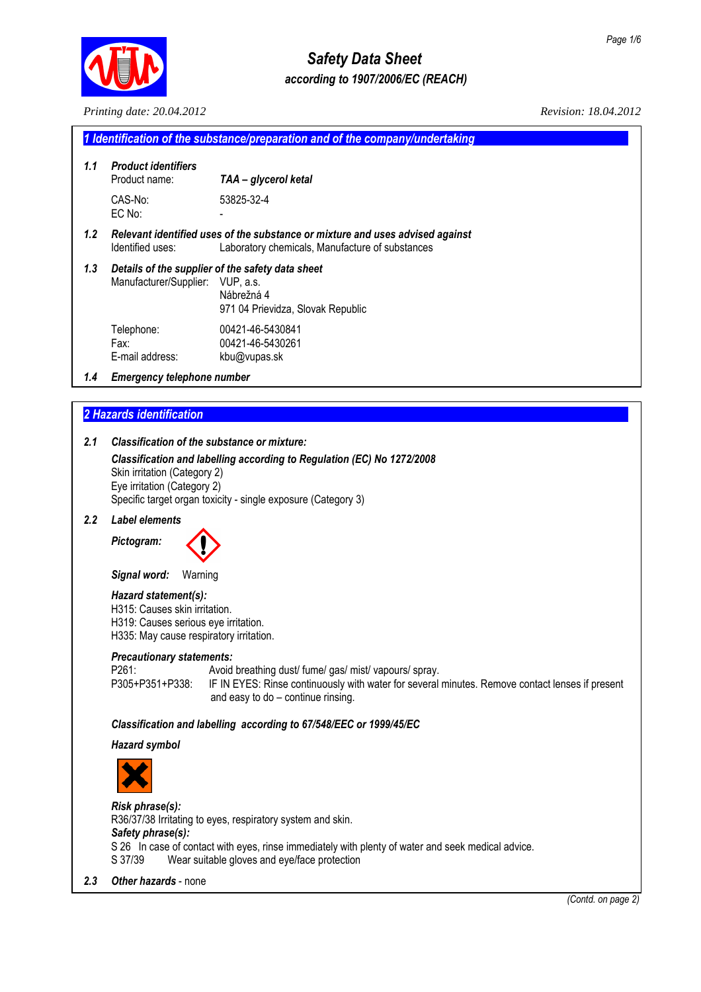

*Printing date: 20.04.2012 Revision: 18.04.2012* 

|     |                                                                                                                                          | 1 Identification of the substance/preparation and of the company/undertaking                                                                                                                                     |
|-----|------------------------------------------------------------------------------------------------------------------------------------------|------------------------------------------------------------------------------------------------------------------------------------------------------------------------------------------------------------------|
| 1.1 | <b>Product identifiers</b><br>Product name:                                                                                              | TAA - glycerol ketal                                                                                                                                                                                             |
|     | CAS-No:<br>EC No:                                                                                                                        | 53825-32-4                                                                                                                                                                                                       |
| 1.2 | Identified uses:                                                                                                                         | Relevant identified uses of the substance or mixture and uses advised against<br>Laboratory chemicals, Manufacture of substances                                                                                 |
| 1.3 | Manufacturer/Supplier: VUP, a.s.                                                                                                         | Details of the supplier of the safety data sheet<br>Nábrežná 4<br>971 04 Prievidza, Slovak Republic                                                                                                              |
|     | Telephone:<br>Fax:<br>E-mail address:                                                                                                    | 00421-46-5430841<br>00421-46-5430261<br>kbu@vupas.sk                                                                                                                                                             |
| 1.4 | <b>Emergency telephone number</b>                                                                                                        |                                                                                                                                                                                                                  |
|     |                                                                                                                                          |                                                                                                                                                                                                                  |
|     | 2 Hazards identification                                                                                                                 |                                                                                                                                                                                                                  |
| 2.1 |                                                                                                                                          | Classification of the substance or mixture:                                                                                                                                                                      |
|     | Skin irritation (Category 2)<br>Eye irritation (Category 2)                                                                              | Classification and labelling according to Regulation (EC) No 1272/2008<br>Specific target organ toxicity - single exposure (Category 3)                                                                          |
| 2.2 | <b>Label elements</b>                                                                                                                    |                                                                                                                                                                                                                  |
|     | Pictogram:                                                                                                                               |                                                                                                                                                                                                                  |
|     | Signal word:<br>Warning                                                                                                                  |                                                                                                                                                                                                                  |
|     | Hazard statement(s):<br>H315: Causes skin irritation.<br>H319: Causes serious eye irritation.<br>H335: May cause respiratory irritation. |                                                                                                                                                                                                                  |
|     | <b>Precautionary statements:</b><br>P261:<br>P305+P351+P338:                                                                             | Avoid breathing dust/ fume/ gas/ mist/ vapours/ spray.<br>IF IN EYES: Rinse continuously with water for several minutes. Remove contact lenses if present<br>and easy to do - continue rinsing.                  |
|     |                                                                                                                                          | Classification and labelling according to 67/548/EEC or 1999/45/EC                                                                                                                                               |
|     | <b>Hazard symbol</b>                                                                                                                     |                                                                                                                                                                                                                  |
|     |                                                                                                                                          |                                                                                                                                                                                                                  |
|     | Risk phrase(s):<br>Safety phrase(s):<br>S 37/39                                                                                          | R36/37/38 Irritating to eyes, respiratory system and skin.<br>S 26 In case of contact with eyes, rinse immediately with plenty of water and seek medical advice.<br>Wear suitable gloves and eye/face protection |
| 2.3 | Other hazards - none                                                                                                                     |                                                                                                                                                                                                                  |
|     |                                                                                                                                          | (Contd. on page 2)                                                                                                                                                                                               |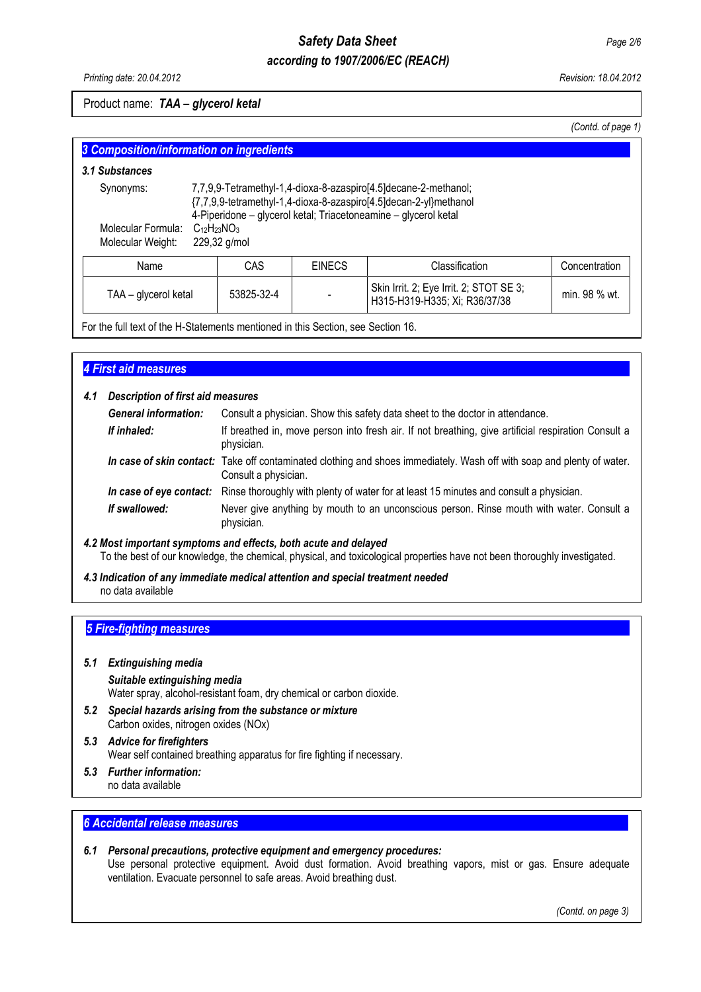### Product name: *TAA – glycerol ketal*

*(Contd. of page 1)* 

|                                         | 3 Composition/information on ingredients |  |                                      |               |                                                                                                                                                                                                         |               |
|-----------------------------------------|------------------------------------------|--|--------------------------------------|---------------|---------------------------------------------------------------------------------------------------------------------------------------------------------------------------------------------------------|---------------|
|                                         | 3.1 Substances                           |  |                                      |               |                                                                                                                                                                                                         |               |
|                                         | Synonyms:                                |  |                                      |               | 7,7,9,9-Tetramethyl-1,4-dioxa-8-azaspiro[4.5]decane-2-methanol;<br>{7,7,9,9-tetramethyl-1,4-dioxa-8-azaspiro[4.5]decan-2-yl}methanol<br>4-Piperidone – glycerol ketal; Triacetoneamine – glycerol ketal |               |
| Molecular Formula:<br>Molecular Weight: |                                          |  | $C_{12}H_{23}NO_3$<br>$229,32$ g/mol |               |                                                                                                                                                                                                         |               |
|                                         | Name                                     |  | CAS                                  | <b>EINECS</b> | Classification                                                                                                                                                                                          | Concentration |
|                                         | TAA - glycerol ketal                     |  | 53825-32-4                           |               | Skin Irrit. 2; Eye Irrit. 2; STOT SE 3;<br>H315-H319-H335; Xi; R36/37/38                                                                                                                                | min. 98 % wt. |

For the full text of the H-Statements mentioned in this Section, see Section 16.

### *4 First aid measures......................................................................................................................................................*

### *4.1 Description of first aid measures*

| <b>General information:</b> | Consult a physician. Show this safety data sheet to the doctor in attendance.                                                                  |
|-----------------------------|------------------------------------------------------------------------------------------------------------------------------------------------|
| If inhaled:                 | If breathed in, move person into fresh air. If not breathing, give artificial respiration Consult a<br>physician.                              |
|                             | In case of skin contact: Take off contaminated clothing and shoes immediately. Wash off with soap and plenty of water.<br>Consult a physician. |
| In case of eye contact:     | Rinse thoroughly with plenty of water for at least 15 minutes and consult a physician.                                                         |
| If swallowed:               | Never give anything by mouth to an unconscious person. Rinse mouth with water. Consult a<br>physician.                                         |

### *4.2 Most important symptoms and effects, both acute and delayed*  To the best of our knowledge, the chemical, physical, and toxicological properties have not been thoroughly investigated.

*4.3 Indication of any immediate medical attention and special treatment needed*  no data available

### **5 Fire-fighting measures**

### *5.1 Extinguishing media*

### *Suitable extinguishing media*  Water spray, alcohol-resistant foam, dry chemical or carbon dioxide.

*5.2 Special hazards arising from the substance or mixture*  Carbon oxides, nitrogen oxides (NOx)

### *5.3 Advice for firefighters*  Wear self contained breathing apparatus for fire fighting if necessary.

- *5.3 Further information:* 
	- no data available

### **6 Accidental release measures**

### *6.1 Personal precautions, protective equipment and emergency procedures:*  Use personal protective equipment. Avoid dust formation. Avoid breathing vapors, mist or gas. Ensure adequate ventilation. Evacuate personnel to safe areas. Avoid breathing dust.

*(Contd. on page 3)*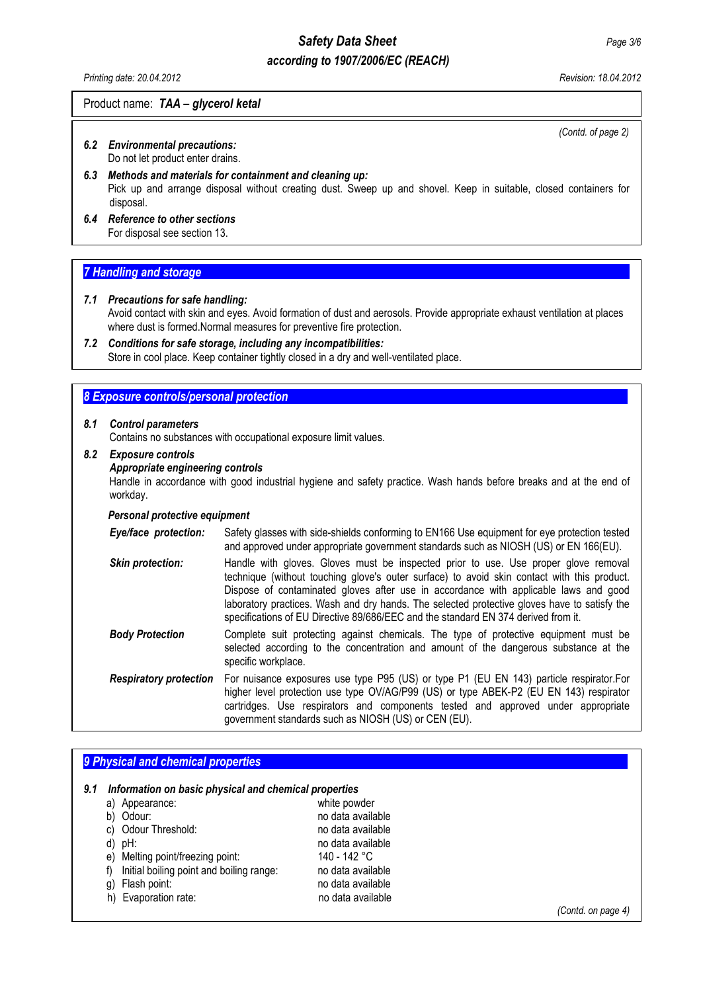### *according to 1907/2006/EC (REACH)*

*(Contd. of page 2)* 

### Product name: *TAA – glycerol ketal*

*6.2 Environmental precautions:*  Do not let product enter drains.

- *6.3 Methods and materials for containment and cleaning up:*  Pick up and arrange disposal without creating dust. Sweep up and shovel. Keep in suitable, closed containers for disposal.
- *6.4 Reference to other sections*  For disposal see section 13.

### **7 Handling and storage**

### *7.1 Precautions for safe handling:*

 Avoid contact with skin and eyes. Avoid formation of dust and aerosols. Provide appropriate exhaust ventilation at places where dust is formed.Normal measures for preventive fire protection.

#### *7.2 Conditions for safe storage, including any incompatibilities:* Store in cool place. Keep container tightly closed in a dry and well-ventilated place.

### **8 Exposure controls/personal protection**

### *8.1 Control parameters*

Contains no substances with occupational exposure limit values.

### *8.2 Exposure controls*

### *Appropriate engineering controls*

 Handle in accordance with good industrial hygiene and safety practice. Wash hands before breaks and at the end of workday.

#### *Personal protective equipment*

| Eye/face protection:          | Safety glasses with side-shields conforming to EN166 Use equipment for eye protection tested<br>and approved under appropriate government standards such as NIOSH (US) or EN 166(EU).                                                                                                                                                                                                                                                                            |
|-------------------------------|------------------------------------------------------------------------------------------------------------------------------------------------------------------------------------------------------------------------------------------------------------------------------------------------------------------------------------------------------------------------------------------------------------------------------------------------------------------|
| Skin protection:              | Handle with gloves. Gloves must be inspected prior to use. Use proper glove removal<br>technique (without touching glove's outer surface) to avoid skin contact with this product.<br>Dispose of contaminated gloves after use in accordance with applicable laws and good<br>laboratory practices. Wash and dry hands. The selected protective gloves have to satisfy the<br>specifications of EU Directive 89/686/EEC and the standard EN 374 derived from it. |
| <b>Body Protection</b>        | Complete suit protecting against chemicals. The type of protective equipment must be<br>selected according to the concentration and amount of the dangerous substance at the<br>specific workplace.                                                                                                                                                                                                                                                              |
| <b>Respiratory protection</b> | For nuisance exposures use type P95 (US) or type P1 (EU EN 143) particle respirator.For<br>higher level protection use type OV/AG/P99 (US) or type ABEK-P2 (EU EN 143) respirator<br>cartridges. Use respirators and components tested and approved under appropriate<br>government standards such as NIOSH (US) or CEN (EU).                                                                                                                                    |

| Information on basic physical and chemical properties<br>9.1 |                   |                    |
|--------------------------------------------------------------|-------------------|--------------------|
| Appearance:<br>a)                                            | white powder      |                    |
| Odour:<br>b)                                                 | no data available |                    |
| Odour Threshold:<br>C)                                       | no data available |                    |
| d)<br>pH:                                                    | no data available |                    |
| Melting point/freezing point:<br>e)                          | 140 - 142 °C      |                    |
| Initial boiling point and boiling range:<br>f)               | no data available |                    |
| Flash point:<br>g)                                           | no data available |                    |
| Evaporation rate:<br>h)                                      | no data available |                    |
|                                                              |                   | (Contd. on page 4) |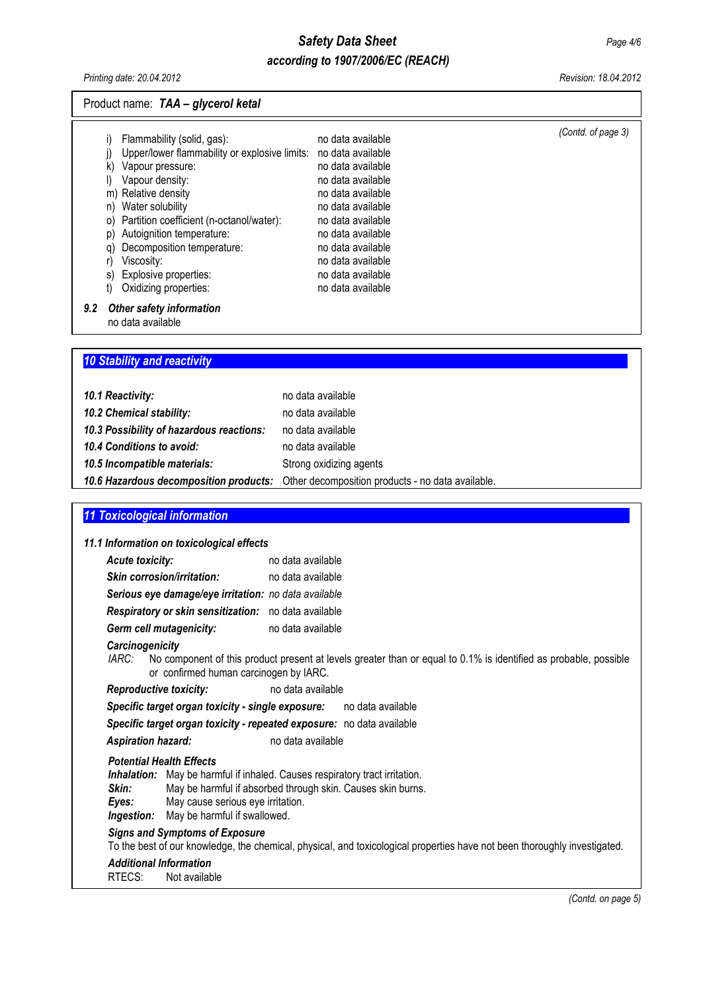### Product name: *TAA – glycerol ketal*

|               |    |                                                                 |                   | (Contd. of page 3) |
|---------------|----|-----------------------------------------------------------------|-------------------|--------------------|
|               |    | Flammability (solid, gas):                                      | no data available |                    |
|               |    | Upper/lower flammability or explosive limits: no data available |                   |                    |
|               | k) | Vapour pressure:                                                | no data available |                    |
|               |    | Vapour density:                                                 | no data available |                    |
|               |    | m) Relative density                                             | no data available |                    |
|               |    | n) Water solubility                                             | no data available |                    |
|               |    | o) Partition coefficient (n-octanol/water):                     | no data available |                    |
|               | p) | Autoignition temperature:                                       | no data available |                    |
|               | q) | Decomposition temperature:                                      | no data available |                    |
|               |    | Viscosity:                                                      | no data available |                    |
|               |    | s) Explosive properties:                                        | no data available |                    |
|               |    | Oxidizing properties:                                           | no data available |                    |
| $\sim$ $\sim$ |    |                                                                 |                   |                    |

### *9.2 Other safety information*

no data available

### **10 Stability and reactivity**

| 10.1 Reactivity:                         | no data available                                                                        |
|------------------------------------------|------------------------------------------------------------------------------------------|
| 10.2 Chemical stability:                 | no data available                                                                        |
| 10.3 Possibility of hazardous reactions: | no data available                                                                        |
| 10.4 Conditions to avoid:                | no data available                                                                        |
| 10.5 Incompatible materials:             | Strong oxidizing agents                                                                  |
|                                          | 10.6 Hazardous decomposition products: Other decomposition products - no data available. |

# *11 Toxicological information........................................................................................................................................*

| 11.1 Information on toxicological effects                                                                                                                                                                                                                                                                |                                                                                                                                                                                          |
|----------------------------------------------------------------------------------------------------------------------------------------------------------------------------------------------------------------------------------------------------------------------------------------------------------|------------------------------------------------------------------------------------------------------------------------------------------------------------------------------------------|
| <b>Acute toxicity:</b>                                                                                                                                                                                                                                                                                   | no data available                                                                                                                                                                        |
| <b>Skin corrosion/irritation:</b>                                                                                                                                                                                                                                                                        | no data available                                                                                                                                                                        |
| Serious eye damage/eye irritation: no data available                                                                                                                                                                                                                                                     |                                                                                                                                                                                          |
| <b>Respiratory or skin sensitization:</b> no data available                                                                                                                                                                                                                                              |                                                                                                                                                                                          |
| Germ cell mutagenicity:                                                                                                                                                                                                                                                                                  | no data available                                                                                                                                                                        |
| Carcinogenicity<br>IARC:<br>or confirmed human carcinogen by IARC.                                                                                                                                                                                                                                       | No component of this product present at levels greater than or equal to 0.1% is identified as probable, possible                                                                         |
| <b>Reproductive toxicity:</b>                                                                                                                                                                                                                                                                            | no data available                                                                                                                                                                        |
| Specific target organ toxicity - single exposure: no data available                                                                                                                                                                                                                                      |                                                                                                                                                                                          |
| Specific target organ toxicity - repeated exposure: no data available                                                                                                                                                                                                                                    |                                                                                                                                                                                          |
| <b>Aspiration hazard:</b>                                                                                                                                                                                                                                                                                | no data available                                                                                                                                                                        |
| <b>Potential Health Effects</b><br><b>Inhalation:</b> May be harmful if inhaled. Causes respiratory tract irritation.<br>Skin:<br>May cause serious eye irritation.<br>Eyes:<br><b>Ingestion:</b> May be harmful if swallowed.<br><b>Signs and Symptoms of Exposure</b><br><b>Additional Information</b> | May be harmful if absorbed through skin. Causes skin burns.<br>To the best of our knowledge, the chemical, physical, and toxicological properties have not been thoroughly investigated. |
| RTECS:<br>Not available                                                                                                                                                                                                                                                                                  |                                                                                                                                                                                          |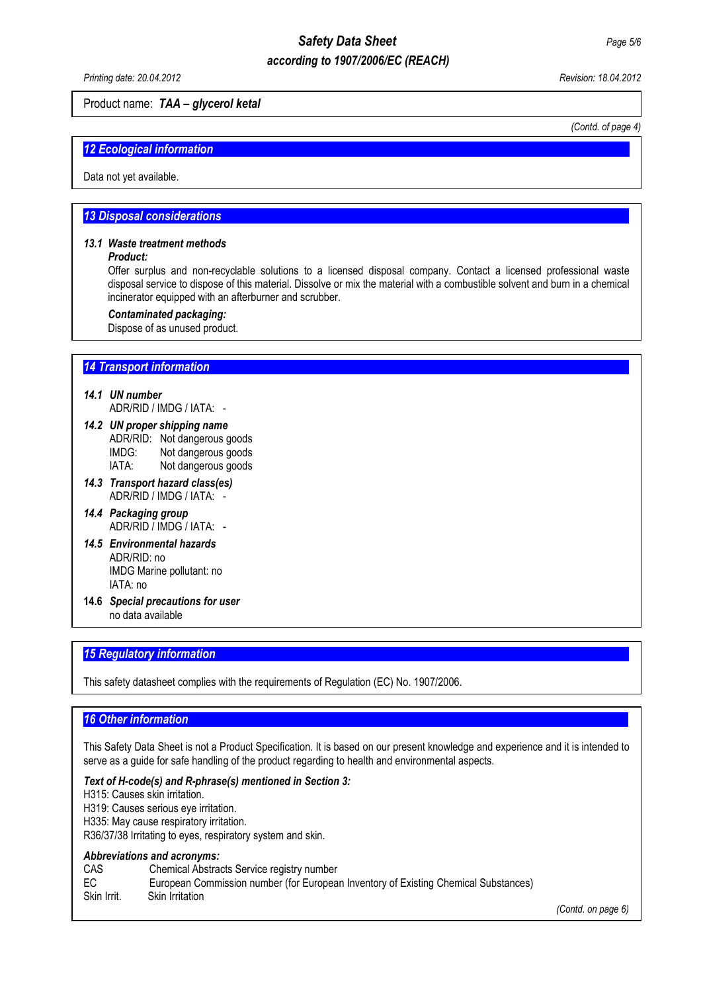# *Safety Data Sheet Page 5/6*

 *according to 1907/2006/EC (REACH)* 

Product name: *TAA – glycerol ketal*

*(Contd. of page 4)* 

### *12 Ecological information.............................................................................................................................................*

Data not yet available.

### **13 Disposal considerations**

### *13.1 Waste treatment methods*

### *Product:*

 Offer surplus and non-recyclable solutions to a licensed disposal company. Contact a licensed professional waste disposal service to dispose of this material. Dissolve or mix the material with a combustible solvent and burn in a chemical incinerator equipped with an afterburner and scrubber.

### *Contaminated packaging:*

Dispose of as unused product.

### *14 Transport information..............................................................................................................................................*

### *14.1 UN number*

ADR/RID / IMDG / IATA: -

- *14.2 UN proper shipping name*  ADR/RID: Not dangerous goods IMDG: Not dangerous goods IATA: Not dangerous goods
- *14.3 Transport hazard class(es)*  ADR/RID / IMDG / IATA: -
- *14.4 Packaging group*  ADR/RID / IMDG / IATA: -
- *14.5 Environmental hazards*  ADR/RID: no IMDG Marine pollutant: no IATA: no
- **14.6** *Special precautions for user*  no data available

### **15 Regulatory information**

This safety datasheet complies with the requirements of Regulation (EC) No. 1907/2006.

### **16 Other information**

This Safety Data Sheet is not a Product Specification. It is based on our present knowledge and experience and it is intended to serve as a guide for safe handling of the product regarding to health and environmental aspects.

### *Text of H-code(s) and R-phrase(s) mentioned in Section 3:*

H315: Causes skin irritation.

H319: Causes serious eye irritation.

H335: May cause respiratory irritation.

R36/37/38 Irritating to eyes, respiratory system and skin.

#### *Abbreviations and acronyms:*

| CAS         | Chemical Abstracts Service registry number                                          |
|-------------|-------------------------------------------------------------------------------------|
| EC          | European Commission number (for European Inventory of Existing Chemical Substances) |
| Skin Irrit. | Skin Irritation                                                                     |